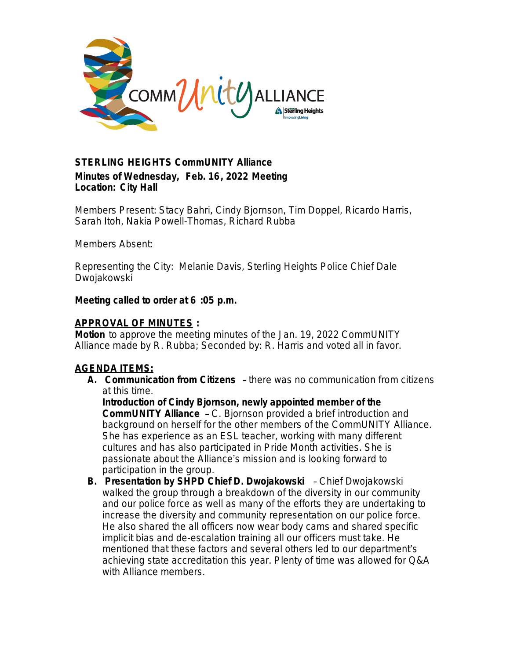

# *STERLING HEIGHTS CommUNITY Alliance* **Minutes of Wednesday, Feb. 16, 2022 Meeting Location: City Hall**

*Members Present:* Stacy Bahri, Cindy Bjornson, Tim Doppel, Ricardo Harris, Sarah Itoh, Nakia Powell-Thomas, Richard Rubba

*Members Absent*:

*Representing the City*: Melanie Davis, Sterling Heights Police Chief Dale Dwojakowski

## **Meeting called to order at 6 :05 p.m.**

## **APPROVAL OF MINUTES :**

*Motion* to approve the meeting minutes of the Jan. 19, 2022 CommUNITY Alliance made by R. Rubba; Seconded by: R. Harris and voted all in favor.

# **AGENDA ITEMS:**

**A. Communication from Citizens** – there was no communication from citizens at this time.

**Introduction of Cindy Bjornson, newly appointed member of the CommUNITY Alliance** – C. Bjornson provided a brief introduction and background on herself for the other members of the CommUNITY Alliance. She has experience as an ESL teacher, working with many different cultures and has also participated in Pride Month activities. She is passionate about the Alliance's mission and is looking forward to participation in the group.

**B. Presentation by SHPD Chief D. Dwojakowski** – Chief Dwojakowski walked the group through a breakdown of the diversity in our community and our police force as well as many of the efforts they are undertaking to increase the diversity and community representation on our police force. He also shared the all officers now wear body cams and shared specific implicit bias and de-escalation training all our officers must take. He mentioned that these factors and several others led to our department's achieving state accreditation this year. Plenty of time was allowed for Q&A with Alliance members.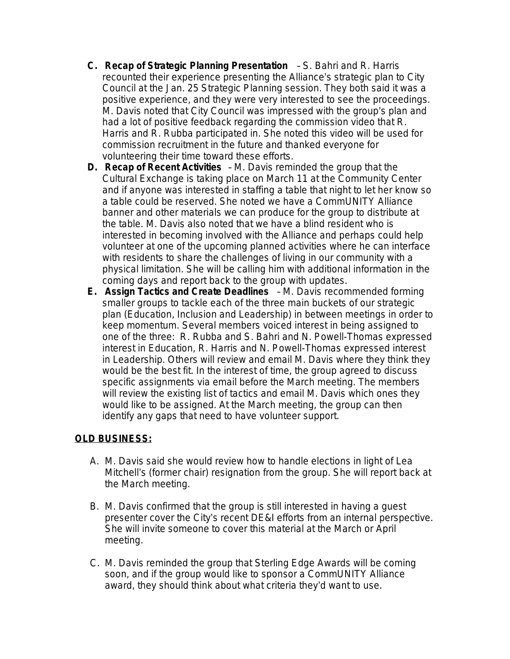- **C. Recap of Strategic Planning Presentation**  S. Bahri and R. Harris recounted their experience presenting the Alliance's strategic plan to City Council at the Jan. 25 Strategic Planning session. They both said it was a positive experience, and they were very interested to see the proceedings. M. Davis noted that City Council was impressed with the group's plan and had a lot of positive feedback regarding the commission video that R. Harris and R. Rubba participated in. She noted this video will be used for commission recruitment in the future and thanked everyone for volunteering their time toward these efforts.
- **D. Recap of Recent Activities** M. Davis reminded the group that the Cultural Exchange is taking place on March 11 at the Community Center and if anyone was interested in staffing a table that night to let her know so a table could be reserved. She noted we have a CommUNITY Alliance banner and other materials we can produce for the group to distribute at the table. M. Davis also noted that we have a blind resident who is interested in becoming involved with the Alliance and perhaps could help volunteer at one of the upcoming planned activities where he can interface with residents to share the challenges of living in our community with a physical limitation. She will be calling him with additional information in the coming days and report back to the group with updates.
- **E. Assign Tactics and Create Deadlines** M. Davis recommended forming smaller groups to tackle each of the three main buckets of our strategic plan (Education, Inclusion and Leadership) in between meetings in order to keep momentum. Several members voiced interest in being assigned to one of the three: R. Rubba and S. Bahri and N. Powell-Thomas expressed interest in Education, R. Harris and N. Powell-Thomas expressed interest in Leadership. Others will review and email M. Davis where they think they would be the best fit. In the interest of time, the group agreed to discuss specific assignments via email before the March meeting. The members will review the existing list of tactics and email M. Davis which ones they would like to be assigned. At the March meeting, the group can then identify any gaps that need to have volunteer support.

# **OLD BUSINESS:**

- A. M. Davis said she would review how to handle elections in light of Lea Mitchell's (former chair) resignation from the group. She will report back at the March meeting.
- B. M. Davis confirmed that the group is still interested in having a guest presenter cover the City's recent DE&I efforts from an internal perspective. She will invite someone to cover this material at the March or April meeting.
- C. M. Davis reminded the group that Sterling Edge Awards will be coming soon, and if the group would like to sponsor a CommUNITY Alliance award, they should think about what criteria they'd want to use.